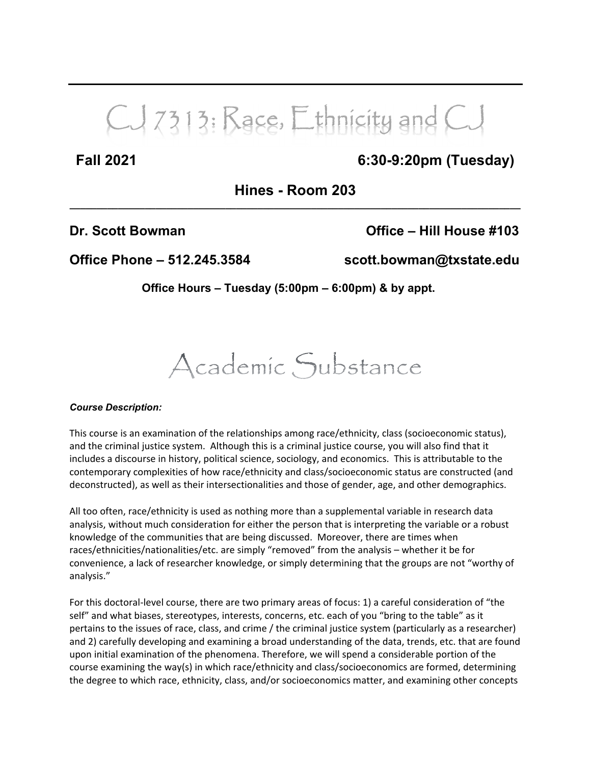# CJ 7313: Race, Ethnicity and CJ

### **Fall 2021 6:30-9:20pm (Tuesday)**

**Hines - Room 203 \_\_\_\_\_\_\_\_\_\_\_\_\_\_\_\_\_\_\_\_\_\_\_\_\_\_\_\_\_\_\_\_\_\_\_\_\_\_\_\_\_\_\_\_\_\_\_\_\_\_\_\_\_\_\_\_\_\_\_\_\_\_\_\_\_\_\_\_\_\_\_\_\_\_\_\_\_\_\_\_\_\_\_\_**

**Dr. Scott Bowman Office – Hill House #103**

**Office Phone – 512.245.3584 scott.bowman@txstate.edu**

**Office Hours – Tuesday (5:00pm – 6:00pm) & by appt.**

## Academic Substance

#### *Course Description:*

This course is an examination of the relationships among race/ethnicity, class (socioeconomic status), and the criminal justice system. Although this is a criminal justice course, you will also find that it includes a discourse in history, political science, sociology, and economics. This is attributable to the contemporary complexities of how race/ethnicity and class/socioeconomic status are constructed (and deconstructed), as well as their intersectionalities and those of gender, age, and other demographics.

All too often, race/ethnicity is used as nothing more than a supplemental variable in research data analysis, without much consideration for either the person that is interpreting the variable or a robust knowledge of the communities that are being discussed. Moreover, there are times when races/ethnicities/nationalities/etc. are simply "removed" from the analysis – whether it be for convenience, a lack of researcher knowledge, or simply determining that the groups are not "worthy of analysis."

For this doctoral‐level course, there are two primary areas of focus: 1) a careful consideration of "the self" and what biases, stereotypes, interests, concerns, etc. each of you "bring to the table" as it pertains to the issues of race, class, and crime / the criminal justice system (particularly as a researcher) and 2) carefully developing and examining a broad understanding of the data, trends, etc. that are found upon initial examination of the phenomena. Therefore, we will spend a considerable portion of the course examining the way(s) in which race/ethnicity and class/socioeconomics are formed, determining the degree to which race, ethnicity, class, and/or socioeconomics matter, and examining other concepts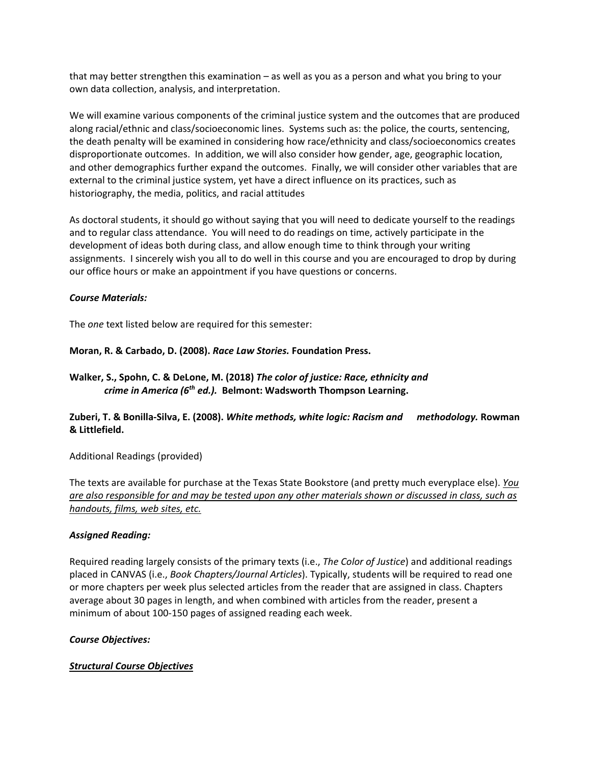that may better strengthen this examination – as well as you as a person and what you bring to your own data collection, analysis, and interpretation.

We will examine various components of the criminal justice system and the outcomes that are produced along racial/ethnic and class/socioeconomic lines. Systems such as: the police, the courts, sentencing, the death penalty will be examined in considering how race/ethnicity and class/socioeconomics creates disproportionate outcomes. In addition, we will also consider how gender, age, geographic location, and other demographics further expand the outcomes. Finally, we will consider other variables that are external to the criminal justice system, yet have a direct influence on its practices, such as historiography, the media, politics, and racial attitudes

As doctoral students, it should go without saying that you will need to dedicate yourself to the readings and to regular class attendance. You will need to do readings on time, actively participate in the development of ideas both during class, and allow enough time to think through your writing assignments. I sincerely wish you all to do well in this course and you are encouraged to drop by during our office hours or make an appointment if you have questions or concerns.

#### *Course Materials:*

The *one* text listed below are required for this semester:

#### **Moran, R. & Carbado, D. (2008).** *Race Law Stories.* **Foundation Press.**

**Walker, S., Spohn, C. & DeLone, M. (2018)** *The color of justice: Race, ethnicity and crime in America (6th ed.).* **Belmont: Wadsworth Thompson Learning.**

#### **Zuberi, T. & Bonilla‐Silva, E. (2008).** *White methods, white logic: Racism and methodology.* **Rowman & Littlefield.**

Additional Readings (provided)

The texts are available for purchase at the Texas State Bookstore (and pretty much everyplace else). *You* are also responsible for and may be tested upon any other materials shown or discussed in class, such as *handouts, films, web sites, etc.*

#### *Assigned Reading:*

Required reading largely consists of the primary texts (i.e., *The Color of Justice*) and additional readings placed in CANVAS (i.e., *Book Chapters/Journal Articles*). Typically, students will be required to read one or more chapters per week plus selected articles from the reader that are assigned in class. Chapters average about 30 pages in length, and when combined with articles from the reader, present a minimum of about 100‐150 pages of assigned reading each week.

#### *Course Objectives:*

#### *Structural Course Objectives*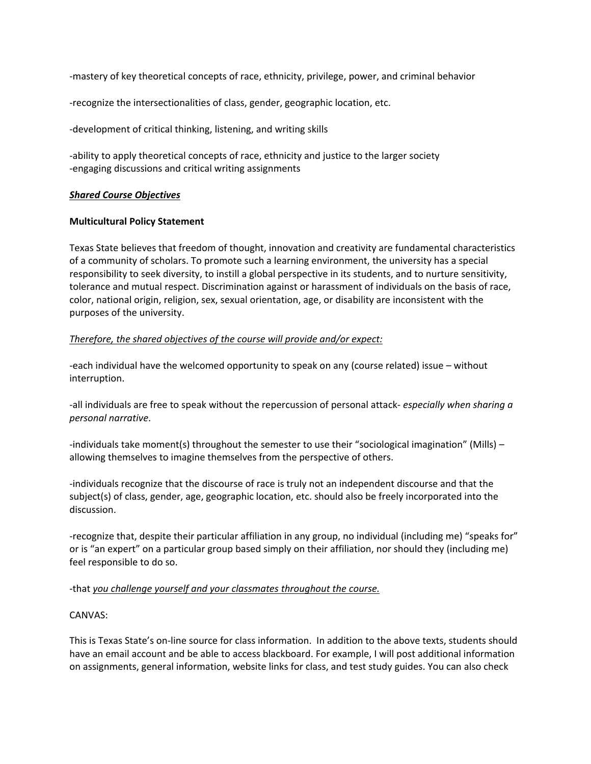‐mastery of key theoretical concepts of race, ethnicity, privilege, power, and criminal behavior

‐recognize the intersectionalities of class, gender, geographic location, etc.

‐development of critical thinking, listening, and writing skills

‐ability to apply theoretical concepts of race, ethnicity and justice to the larger society ‐engaging discussions and critical writing assignments

#### *Shared Course Objectives*

#### **Multicultural Policy Statement**

Texas State believes that freedom of thought, innovation and creativity are fundamental characteristics of a community of scholars. To promote such a learning environment, the university has a special responsibility to seek diversity, to instill a global perspective in its students, and to nurture sensitivity, tolerance and mutual respect. Discrimination against or harassment of individuals on the basis of race, color, national origin, religion, sex, sexual orientation, age, or disability are inconsistent with the purposes of the university.

#### *Therefore, the shared objectives of the course will provide and/or expect:*

‐each individual have the welcomed opportunity to speak on any (course related) issue – without interruption.

‐all individuals are free to speak without the repercussion of personal attack‐ *especially when sharing a personal narrative*.

-individuals take moment(s) throughout the semester to use their "sociological imagination" (Mills) allowing themselves to imagine themselves from the perspective of others.

‐individuals recognize that the discourse of race is truly not an independent discourse and that the subject(s) of class, gender, age, geographic location, etc. should also be freely incorporated into the discussion.

‐recognize that, despite their particular affiliation in any group, no individual (including me) "speaks for" or is "an expert" on a particular group based simply on their affiliation, nor should they (including me) feel responsible to do so.

#### ‐that *you challenge yourself and your classmates throughout the course.*

#### CANVAS:

This is Texas State's on‐line source for class information. In addition to the above texts, students should have an email account and be able to access blackboard. For example, I will post additional information on assignments, general information, website links for class, and test study guides. You can also check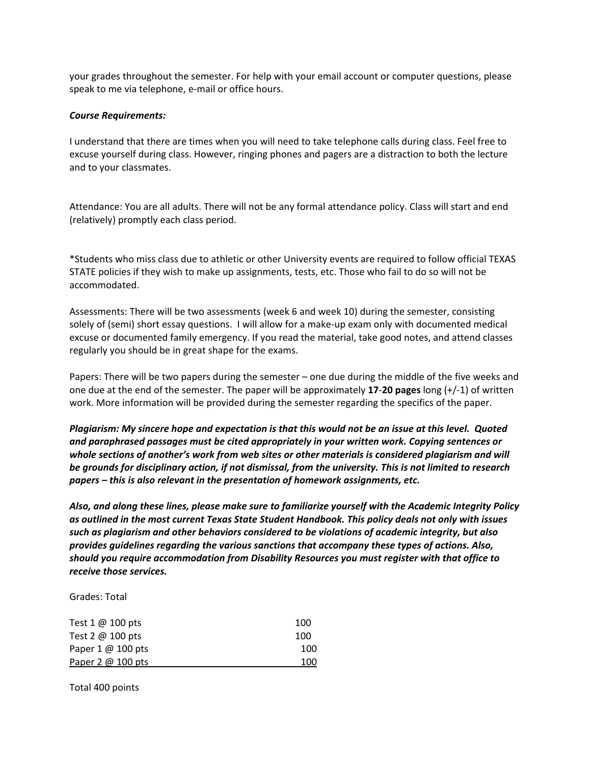your grades throughout the semester. For help with your email account or computer questions, please speak to me via telephone, e-mail or office hours.

#### *Course Requirements:*

I understand that there are times when you will need to take telephone calls during class. Feel free to excuse yourself during class. However, ringing phones and pagers are a distraction to both the lecture and to your classmates.

Attendance: You are all adults. There will not be any formal attendance policy. Class will start and end (relatively) promptly each class period.

\*Students who miss class due to athletic or other University events are required to follow official TEXAS STATE policies if they wish to make up assignments, tests, etc. Those who fail to do so will not be accommodated.

Assessments: There will be two assessments (week 6 and week 10) during the semester, consisting solely of (semi) short essay questions. I will allow for a make-up exam only with documented medical excuse or documented family emergency. If you read the material, take good notes, and attend classes regularly you should be in great shape for the exams.

Papers: There will be two papers during the semester – one due during the middle of the five weeks and one due at the end of the semester. The paper will be approximately **17**‐**20 pages** long (+/‐1) of written work. More information will be provided during the semester regarding the specifics of the paper.

Plagiarism: My sincere hope and expectation is that this would not be an issue at this level. Quoted *and paraphrased passages must be cited appropriately in your written work. Copying sentences or whole sections of another's work from web sites or other materials is considered plagiarism and will* be grounds for disciplinary action, if not dismissal, from the university. This is not limited to research *papers – this is also relevant in the presentation of homework assignments, etc.*

*Also, and along these lines, please make sure to familiarize yourself with the Academic Integrity Policy as outlined in the most current Texas State Student Handbook. This policy deals not only with issues such as plagiarism and other behaviors considered to be violations of academic integrity, but also provides guidelines regarding the various sanctions that accompany these types of actions. Also, should you require accommodation from Disability Resources you must register with that office to receive those services.*

Grades: Total

| Test $1 \omega$ 100 pts | 100 |
|-------------------------|-----|
| Test 2 $@$ 100 pts      | 100 |
| Paper 1 @ 100 pts       | 100 |
| Paper 2 @ 100 pts       | 100 |

Total 400 points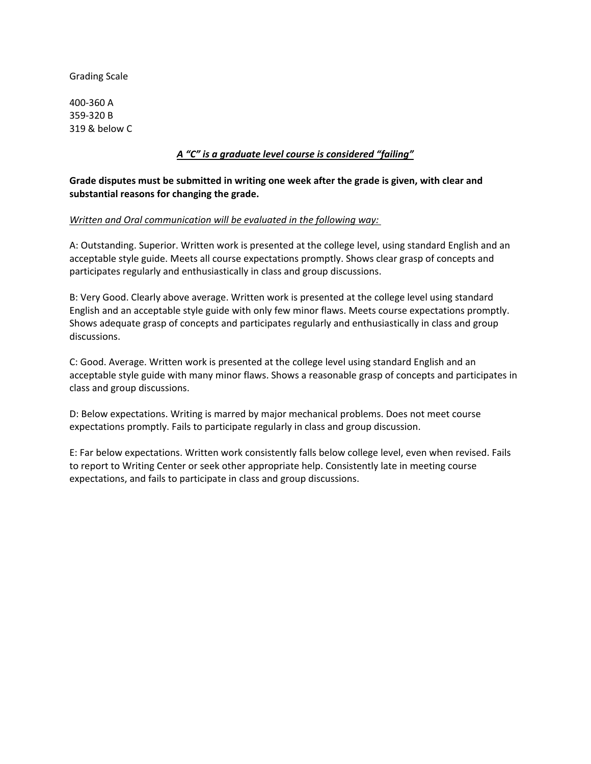Grading Scale

400‐360 A 359‐320 B 319 & below C

#### *A "C" is a graduate level course is considered "failing"*

#### **Grade disputes must be submitted in writing one week after the grade is given, with clear and substantial reasons for changing the grade.**

#### *Written and Oral communication will be evaluated in the following way:*

A: Outstanding. Superior. Written work is presented at the college level, using standard English and an acceptable style guide. Meets all course expectations promptly. Shows clear grasp of concepts and participates regularly and enthusiastically in class and group discussions.

B: Very Good. Clearly above average. Written work is presented at the college level using standard English and an acceptable style guide with only few minor flaws. Meets course expectations promptly. Shows adequate grasp of concepts and participates regularly and enthusiastically in class and group discussions.

C: Good. Average. Written work is presented at the college level using standard English and an acceptable style guide with many minor flaws. Shows a reasonable grasp of concepts and participates in class and group discussions.

D: Below expectations. Writing is marred by major mechanical problems. Does not meet course expectations promptly. Fails to participate regularly in class and group discussion.

E: Far below expectations. Written work consistently falls below college level, even when revised. Fails to report to Writing Center or seek other appropriate help. Consistently late in meeting course expectations, and fails to participate in class and group discussions.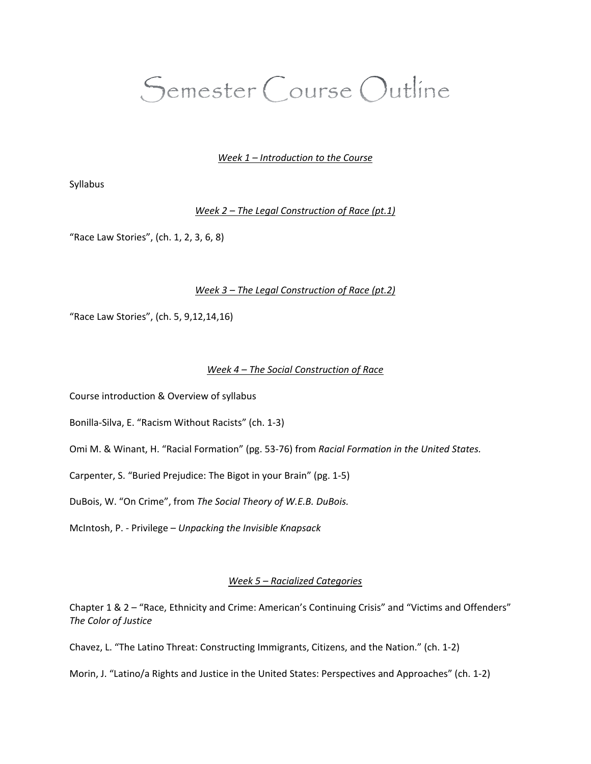### Semester Course Outline

#### *Week 1 – Introduction to the Course*

Syllabus

*Week 2 – The Legal Construction of Race (pt.1)*

"Race Law Stories", (ch. 1, 2, 3, 6, 8)

#### *Week 3 – The Legal Construction of Race (pt.2)*

"Race Law Stories", (ch. 5, 9,12,14,16)

#### *Week 4 – The Social Construction of Race*

Course introduction & Overview of syllabus

Bonilla‐Silva, E. "Racism Without Racists" (ch. 1‐3)

Omi M. & Winant, H. "Racial Formation" (pg. 53‐76) from *Racial Formation in the United States.*

Carpenter, S. "Buried Prejudice: The Bigot in your Brain" (pg. 1‐5)

DuBois, W. "On Crime", from *The Social Theory of W.E.B. DuBois.*

McIntosh, P. ‐ Privilege – *Unpacking the Invisible Knapsack*

#### *Week 5 – Racialized Categories*

Chapter 1 & 2 – "Race, Ethnicity and Crime: American's Continuing Crisis" and "Victims and Offenders" *The Color of Justice*

Chavez, L. "The Latino Threat: Constructing Immigrants, Citizens, and the Nation." (ch. 1‐2)

Morin, J. "Latino/a Rights and Justice in the United States: Perspectives and Approaches" (ch. 1‐2)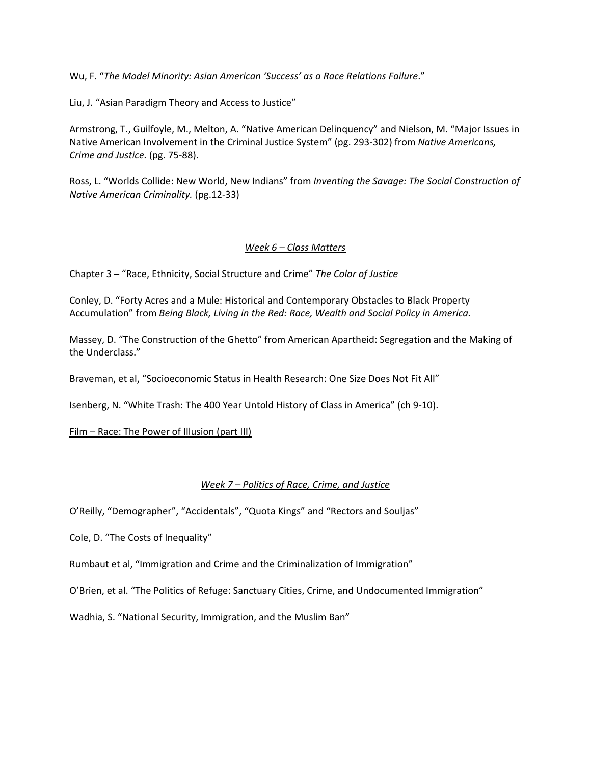Wu, F. "*The Model Minority: Asian American 'Success' as a Race Relations Failure*."

Liu, J. "Asian Paradigm Theory and Access to Justice"

Armstrong, T., Guilfoyle, M., Melton, A. "Native American Delinquency" and Nielson, M. "Major Issues in Native American Involvement in the Criminal Justice System" (pg. 293‐302) from *Native Americans, Crime and Justice.* (pg. 75‐88).

Ross, L. "Worlds Collide: New World, New Indians" from *Inventing the Savage: The Social Construction of Native American Criminality.* (pg.12‐33)

#### *Week 6 – Class Matters*

Chapter 3 – "Race, Ethnicity, Social Structure and Crime" *The Color of Justice*

Conley, D. "Forty Acres and a Mule: Historical and Contemporary Obstacles to Black Property Accumulation" from *Being Black, Living in the Red: Race, Wealth and Social Policy in America.*

Massey, D. "The Construction of the Ghetto" from American Apartheid: Segregation and the Making of the Underclass."

Braveman, et al, "Socioeconomic Status in Health Research: One Size Does Not Fit All"

Isenberg, N. "White Trash: The 400 Year Untold History of Class in America" (ch 9‐10).

Film – Race: The Power of Illusion (part III)

#### *Week 7 – Politics of Race, Crime, and Justice*

O'Reilly, "Demographer", "Accidentals", "Quota Kings" and "Rectors and Souljas"

Cole, D. "The Costs of Inequality"

Rumbaut et al, "Immigration and Crime and the Criminalization of Immigration"

O'Brien, et al. "The Politics of Refuge: Sanctuary Cities, Crime, and Undocumented Immigration"

Wadhia, S. "National Security, Immigration, and the Muslim Ban"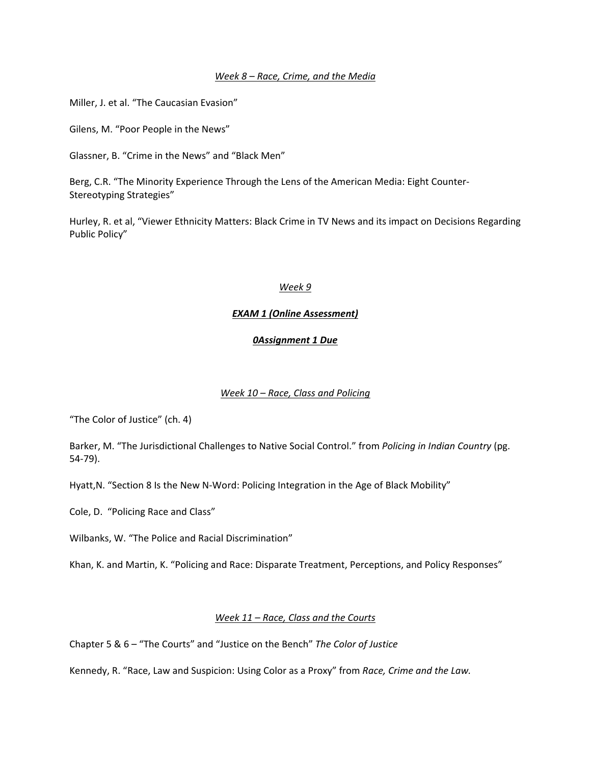#### *Week 8 – Race, Crime, and the Media*

Miller, J. et al. "The Caucasian Evasion"

Gilens, M. "Poor People in the News"

Glassner, B. "Crime in the News" and "Black Men"

Berg, C.R. "The Minority Experience Through the Lens of the American Media: Eight Counter‐ Stereotyping Strategies"

Hurley, R. et al, "Viewer Ethnicity Matters: Black Crime in TV News and its impact on Decisions Regarding Public Policy"

#### *Week 9*

#### *EXAM 1 (Online Assessment)*

#### *0Assignment 1 Due*

#### *Week 10 – Race, Class and Policing*

"The Color of Justice" (ch. 4)

Barker, M. "The Jurisdictional Challenges to Native Social Control." from *Policing in Indian Country* (pg. 54‐79).

Hyatt,N. "Section 8 Is the New N‐Word: Policing Integration in the Age of Black Mobility"

Cole, D. "Policing Race and Class"

Wilbanks, W. "The Police and Racial Discrimination"

Khan, K. and Martin, K. "Policing and Race: Disparate Treatment, Perceptions, and Policy Responses"

#### *Week 11 – Race, Class and the Courts*

Chapter 5 & 6 – "The Courts" and "Justice on the Bench" *The Color of Justice*

Kennedy, R. "Race, Law and Suspicion: Using Color as a Proxy" from *Race, Crime and the Law.*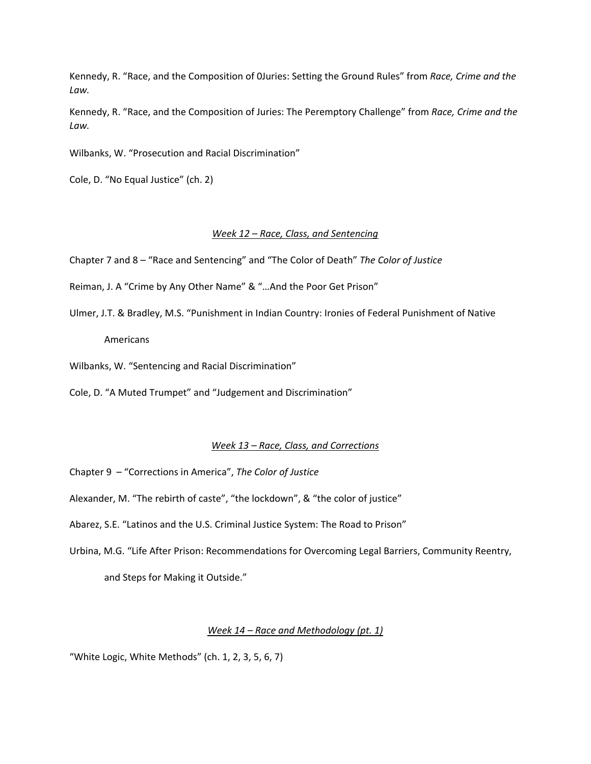Kennedy, R. "Race, and the Composition of 0Juries: Setting the Ground Rules" from *Race, Crime and the Law.*

Kennedy, R. "Race, and the Composition of Juries: The Peremptory Challenge" from *Race, Crime and the Law.*

Wilbanks, W. "Prosecution and Racial Discrimination"

Cole, D. "No Equal Justice" (ch. 2)

#### *Week 12 – Race, Class, and Sentencing*

Chapter 7 and 8 – "Race and Sentencing" and "The Color of Death" *The Color of Justice*

Reiman, J. A "Crime by Any Other Name" & "…And the Poor Get Prison"

Ulmer, J.T. & Bradley, M.S. "Punishment in Indian Country: Ironies of Federal Punishment of Native

Americans

Wilbanks, W. "Sentencing and Racial Discrimination"

Cole, D. "A Muted Trumpet" and "Judgement and Discrimination"

#### *Week 13 – Race, Class, and Corrections*

Chapter 9 – "Corrections in America", *The Color of Justice*

Alexander, M. "The rebirth of caste", "the lockdown", & "the color of justice"

Abarez, S.E. "Latinos and the U.S. Criminal Justice System: The Road to Prison"

Urbina, M.G. "Life After Prison: Recommendations for Overcoming Legal Barriers, Community Reentry, and Steps for Making it Outside."

#### *Week 14 – Race and Methodology (pt. 1)*

"White Logic, White Methods" (ch. 1, 2, 3, 5, 6, 7)